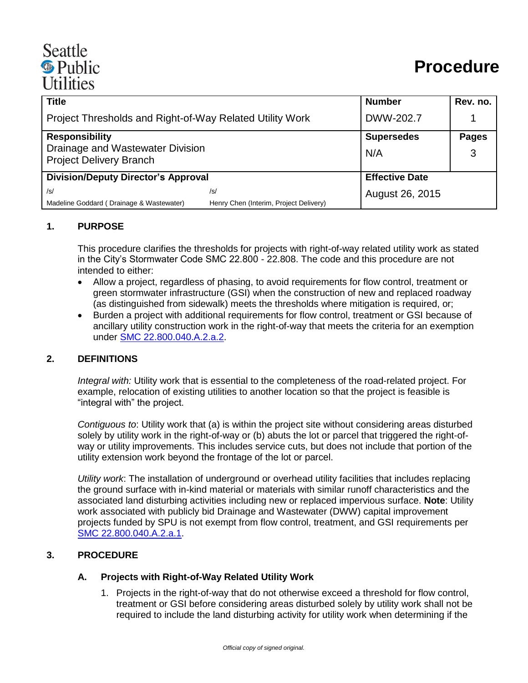# Seattle <sup><sup>®</sup> Public</sup> **Utilities**

| <b>Title</b>                                                                                |                                        | <b>Number</b>         | Rev. no.     |
|---------------------------------------------------------------------------------------------|----------------------------------------|-----------------------|--------------|
| Project Thresholds and Right-of-Way Related Utility Work                                    |                                        | DWW-202.7             |              |
| <b>Responsibility</b><br>Drainage and Wastewater Division<br><b>Project Delivery Branch</b> |                                        | <b>Supersedes</b>     | <b>Pages</b> |
|                                                                                             |                                        | N/A                   | 3            |
|                                                                                             |                                        |                       |              |
| <b>Division/Deputy Director's Approval</b>                                                  |                                        | <b>Effective Date</b> |              |
| /s/                                                                                         | /s/                                    | August 26, 2015       |              |
| Madeline Goddard (Drainage & Wastewater)                                                    | Henry Chen (Interim, Project Delivery) |                       |              |

#### **1. PURPOSE**

This procedure clarifies the thresholds for projects with right-of-way related utility work as stated in the City's Stormwater Code SMC 22.800 - 22.808. The code and this procedure are not intended to either:

- Allow a project, regardless of phasing, to avoid requirements for flow control, treatment or green stormwater infrastructure (GSI) when the construction of new and replaced roadway (as distinguished from sidewalk) meets the thresholds where mitigation is required, or;
- Burden a project with additional requirements for flow control, treatment or GSI because of ancillary utility construction work in the right-of-way that meets the criteria for an exemption under [SMC 22.800.040.A.2.a.2.](http://clerk.ci.seattle.wa.us/~scripts/nph-brs.exe?d=CODE&s1=22.800.040.snum.&Sect5=CODE1&Sect6=HITOFF&l=20&p=1&u=/~public/code1.htm&r=1&f=G)

#### **2. DEFINITIONS**

*Integral with:* Utility work that is essential to the completeness of the road-related project. For example, relocation of existing utilities to another location so that the project is feasible is "integral with" the project.

*Contiguous to*: Utility work that (a) is within the project site without considering areas disturbed solely by utility work in the right-of-way or (b) abuts the lot or parcel that triggered the right-ofway or utility improvements. This includes service cuts, but does not include that portion of the utility extension work beyond the frontage of the lot or parcel.

*Utility work*: The installation of underground or overhead utility facilities that includes replacing the ground surface with in-kind material or materials with similar runoff characteristics and the associated land disturbing activities including new or replaced impervious surface. **Note**: Utility work associated with publicly bid Drainage and Wastewater (DWW) capital improvement projects funded by SPU is not exempt from flow control, treatment, and GSI requirements per [SMC 22.800.040.A.2.a.1.](http://clerk.ci.seattle.wa.us/~scripts/nph-brs.exe?d=CODE&s1=22.800.040.snum.&Sect5=CODE1&Sect6=HITOFF&l=20&p=1&u=/~public/code1.htm&r=1&f=G)

### **3. PROCEDURE**

#### **A. Projects with Right-of-Way Related Utility Work**

1. Projects in the right-of-way that do not otherwise exceed a threshold for flow control, treatment or GSI before considering areas disturbed solely by utility work shall not be required to include the land disturbing activity for utility work when determining if the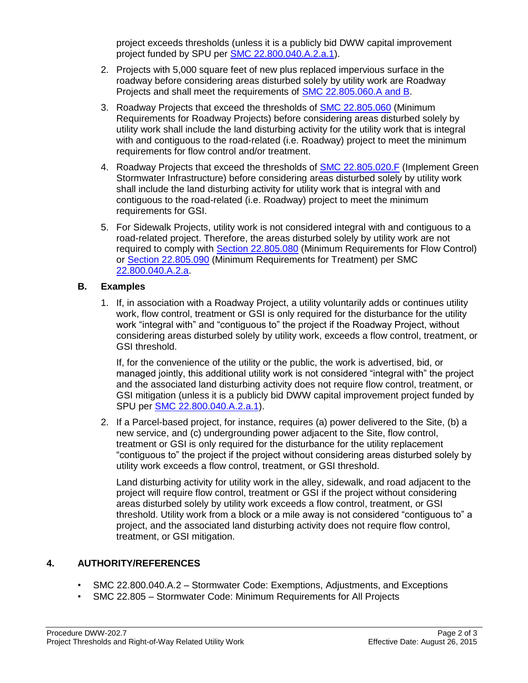project exceeds thresholds (unless it is a publicly bid DWW capital improvement project funded by SPU per [SMC 22.800.040.A.2.a.1\)](http://clerk.ci.seattle.wa.us/~scripts/nph-brs.exe?d=CODE&s1=22.800.040.snum.&Sect5=CODE1&Sect6=HITOFF&l=20&p=1&u=/~public/code1.htm&r=1&f=G).

- 2. Projects with 5,000 square feet of new plus replaced impervious surface in the roadway before considering areas disturbed solely by utility work are Roadway Projects and shall meet the requirements of [SMC 22.805.060.A and B.](http://clerk.ci.seattle.wa.us/~scripts/nph-brs.exe?d=CODE&s1=22.805.060.snum.&Sect5=CODE1&Sect6=HITOFF&l=20&p=1&u=/~public/code1.htm&r=1&f=G)
- 3. Roadway Projects that exceed the thresholds of [SMC 22.805.060](http://clerk.ci.seattle.wa.us/~scripts/nph-brs.exe?d=CODE&s1=22.805.060.snum.&Sect5=CODE1&Sect6=HITOFF&l=20&p=1&u=/~public/code1.htm&r=1&f=G) (Minimum Requirements for Roadway Projects) before considering areas disturbed solely by utility work shall include the land disturbing activity for the utility work that is integral with and contiguous to the road-related (i.e. Roadway) project to meet the minimum requirements for flow control and/or treatment.
- 4. Roadway Projects that exceed the thresholds of [SMC 22.805.020.F](http://clerk.ci.seattle.wa.us/~scripts/nph-brs.exe?d=CODE&s1=22.805.020.snum.&Sect5=CODE1&Sect6=HITOFF&l=20&p=1&u=/~public/code1.htm&r=1&f=G) (Implement Green Stormwater Infrastructure) before considering areas disturbed solely by utility work shall include the land disturbing activity for utility work that is integral with and contiguous to the road-related (i.e. Roadway) project to meet the minimum requirements for GSI.
- 5. For Sidewalk Projects, utility work is not considered integral with and contiguous to a road-related project. Therefore, the areas disturbed solely by utility work are not required to comply with [Section 22.805.080](http://clerk.ci.seattle.wa.us/~scripts/nph-brs.exe?d=CODE&s1=22.805.080.snum.&Sect5=CODE1&Sect6=HITOFF&l=20&p=1&u=%2F%7Epublic%2Fcode1.htm&r=1&f=L3%3B1%3B22.805.080.SNUM.) (Minimum Requirements for Flow Control) or [Section 22.805.090](http://clerk.ci.seattle.wa.us/~scripts/nph-brs.exe?d=CODE&s1=22.805.090.snum.&Sect5=CODE1&Sect6=HITOFF&l=20&p=1&u=%2F%7Epublic%2Fcode1.htm&r=1&f=L3%3B1%3B22.805.090.SNUM.) (Minimum Requirements for Treatment) per SMC [22.800.040.A.2.a.](http://clerk.ci.seattle.wa.us/~scripts/nph-brs.exe?d=CODE&s1=22.800.040.snum.&Sect5=CODE1&Sect6=HITOFF&l=20&p=1&u=/~public/code1.htm&r=1&f=G)

# **B. Examples**

1. If, in association with a Roadway Project, a utility voluntarily adds or continues utility work, flow control, treatment or GSI is only required for the disturbance for the utility work "integral with" and "contiguous to" the project if the Roadway Project, without considering areas disturbed solely by utility work, exceeds a flow control, treatment, or GSI threshold.

If, for the convenience of the utility or the public, the work is advertised, bid, or managed jointly, this additional utility work is not considered "integral with" the project and the associated land disturbing activity does not require flow control, treatment, or GSI mitigation (unless it is a publicly bid DWW capital improvement project funded by SPU per [SMC 22.800.040.A.2.a.1\)](http://clerk.ci.seattle.wa.us/~scripts/nph-brs.exe?d=CODE&s1=22.800.040.snum.&Sect5=CODE1&Sect6=HITOFF&l=20&p=1&u=/~public/code1.htm&r=1&f=G).

2. If a Parcel-based project, for instance, requires (a) power delivered to the Site, (b) a new service, and (c) undergrounding power adjacent to the Site, flow control, treatment or GSI is only required for the disturbance for the utility replacement "contiguous to" the project if the project without considering areas disturbed solely by utility work exceeds a flow control, treatment, or GSI threshold.

Land disturbing activity for utility work in the alley, sidewalk, and road adjacent to the project will require flow control, treatment or GSI if the project without considering areas disturbed solely by utility work exceeds a flow control, treatment, or GSI threshold. Utility work from a block or a mile away is not considered "contiguous to" a project, and the associated land disturbing activity does not require flow control, treatment, or GSI mitigation.

# **4. AUTHORITY/REFERENCES**

- SMC 22.800.040.A.2 Stormwater Code: Exemptions, Adjustments, and Exceptions
- SMC 22.805 Stormwater Code: Minimum Requirements for All Projects